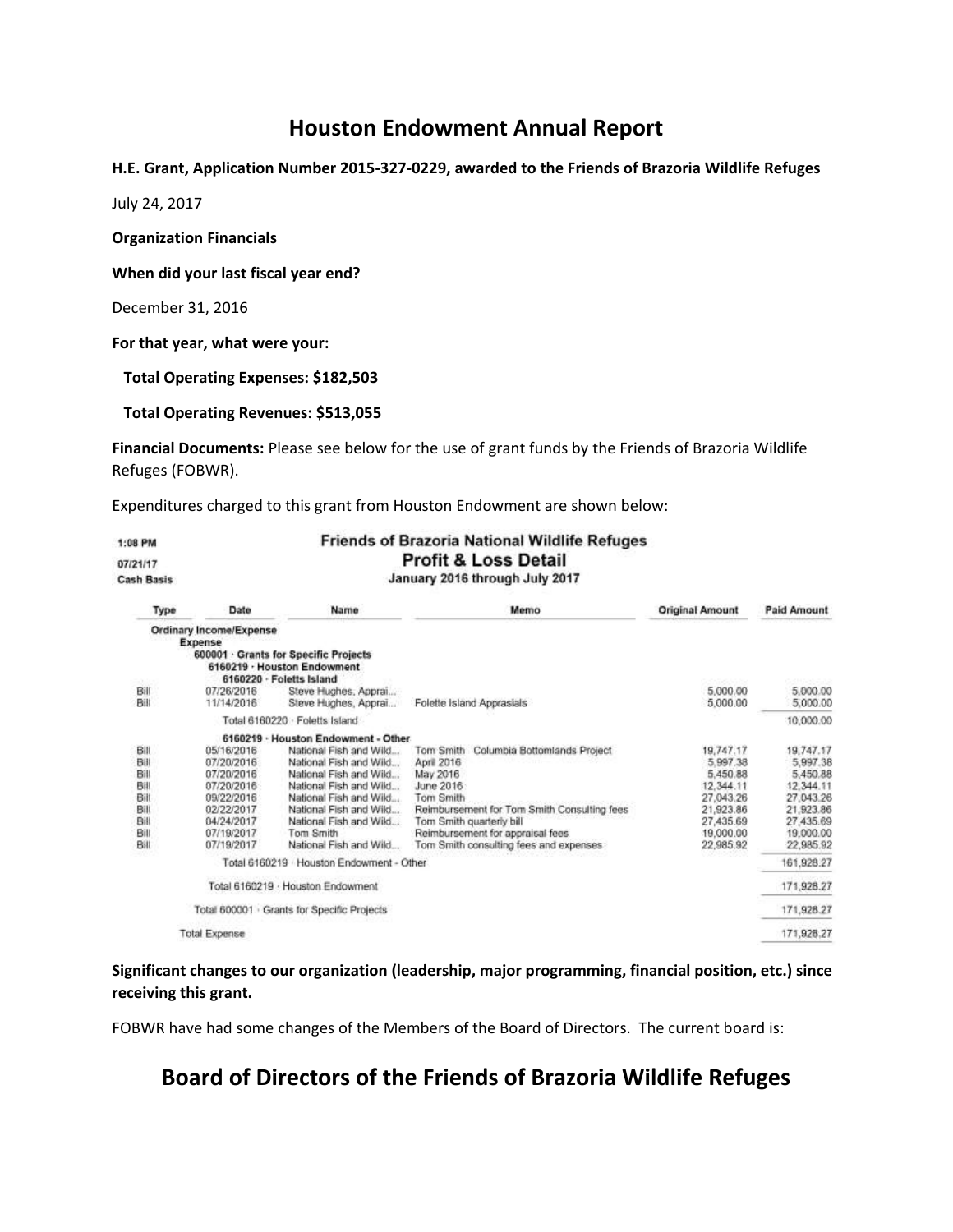## **Houston Endowment Annual Report**

**H.E. Grant, Application Number 2015-327-0229, awarded to the Friends of Brazoria Wildlife Refuges**

July 24, 2017

**Organization Financials**

**When did your last fiscal year end?**

December 31, 2016

**For that year, what were your:**

 **Total Operating Expenses: \$182,503**

#### **Total Operating Revenues: \$513,055**

**Financial Documents:** Please see below for the use of grant funds by the Friends of Brazoria Wildlife Refuges (FOBWR).

Expenditures charged to this grant from Houston Endowment are shown below:

| 1:08 PM           |                                    |                                                                      | <b>Friends of Brazoria National Wildlife Refuges</b><br><b>Profit &amp; Loss Detail</b> |                        |                        |
|-------------------|------------------------------------|----------------------------------------------------------------------|-----------------------------------------------------------------------------------------|------------------------|------------------------|
| 07/21/17          |                                    | January 2016 through July 2017                                       |                                                                                         |                        |                        |
| <b>Cash Basis</b> |                                    |                                                                      |                                                                                         |                        |                        |
| Type              | Date                               | Name                                                                 | Memo                                                                                    | <b>Original Amount</b> | <b>Paid Amount</b>     |
|                   | Ordinary Income/Expense<br>Expense |                                                                      |                                                                                         |                        |                        |
|                   | 6160220 - Foletts Island           | 600001 · Grants for Specific Projects<br>6160219 · Houston Endowment |                                                                                         |                        |                        |
| Bill<br>Bill      | 07/26/2016<br>11/14/2016           | Steve Hughes, Apprai<br>Steve Hughes, Apprai                         | Folette Island Apprasials                                                               | 5,000.00<br>5,000.00   | 5,000.00<br>5,000.00   |
|                   |                                    | Total 6160220 · Foletts Island                                       |                                                                                         |                        | 10.000.00              |
|                   |                                    | 6160219 · Houston Endowment - Other                                  |                                                                                         |                        |                        |
| Bill              | 05/16/2016                         | National Fish and Wild                                               | Tom Smith<br>Columbia Bottomlands Project                                               | 19,747.17              | 19,747.17              |
| Bill              | 07/20/2016                         | National Fish and Wild                                               | April 2016                                                                              | 5.997.38               | 5,997.38               |
| Bill              | 07/20/2016                         | National Fish and Wild                                               | May 2016                                                                                | 5.450.88               | 5.450.88               |
| Bill              | 07/20/2016                         | National Fish and Wild                                               | June 2016                                                                               | 12.344.11              | 12.344.11              |
| Bill              | 09/22/2016                         | National Fish and Wild                                               | Tom Smith                                                                               | 27.043.26              | 27.043.26              |
| Bill<br>Bill      | 02/22/2017<br>04/24/2017           | National Fish and Wild<br>National Fish and Wild                     | Reimbursement for Tom Smith Consulting fees<br>Tom Smith quarterly bill                 | 21,923.86<br>27,435.69 | 21.923.86<br>27.435.69 |
| Bill              | 07/19/2017                         | Tom Smith                                                            | Reimbursement for appraisal fees                                                        | 19,000.00              | 19,000.00              |
| Bill              | 07/19/2017                         | National Fish and Wild                                               | Tom Smith consulting fees and expenses                                                  | 22,985.92              | 22,985.92              |
|                   |                                    | Total 6160219 Houston Endowment - Other                              |                                                                                         |                        | 161,928.27             |
|                   |                                    | Total 6160219 · Houston Endowment                                    |                                                                                         |                        | 171,928.27             |
|                   |                                    | Total 600001 · Grants for Specific Projects                          |                                                                                         |                        | 171,928.27             |
|                   | <b>Total Expense</b>               |                                                                      |                                                                                         |                        | 171,928.27             |

#### **Significant changes to our organization (leadership, major programming, financial position, etc.) since receiving this grant.**

FOBWR have had some changes of the Members of the Board of Directors. The current board is:

## **Board of Directors of the Friends of Brazoria Wildlife Refuges**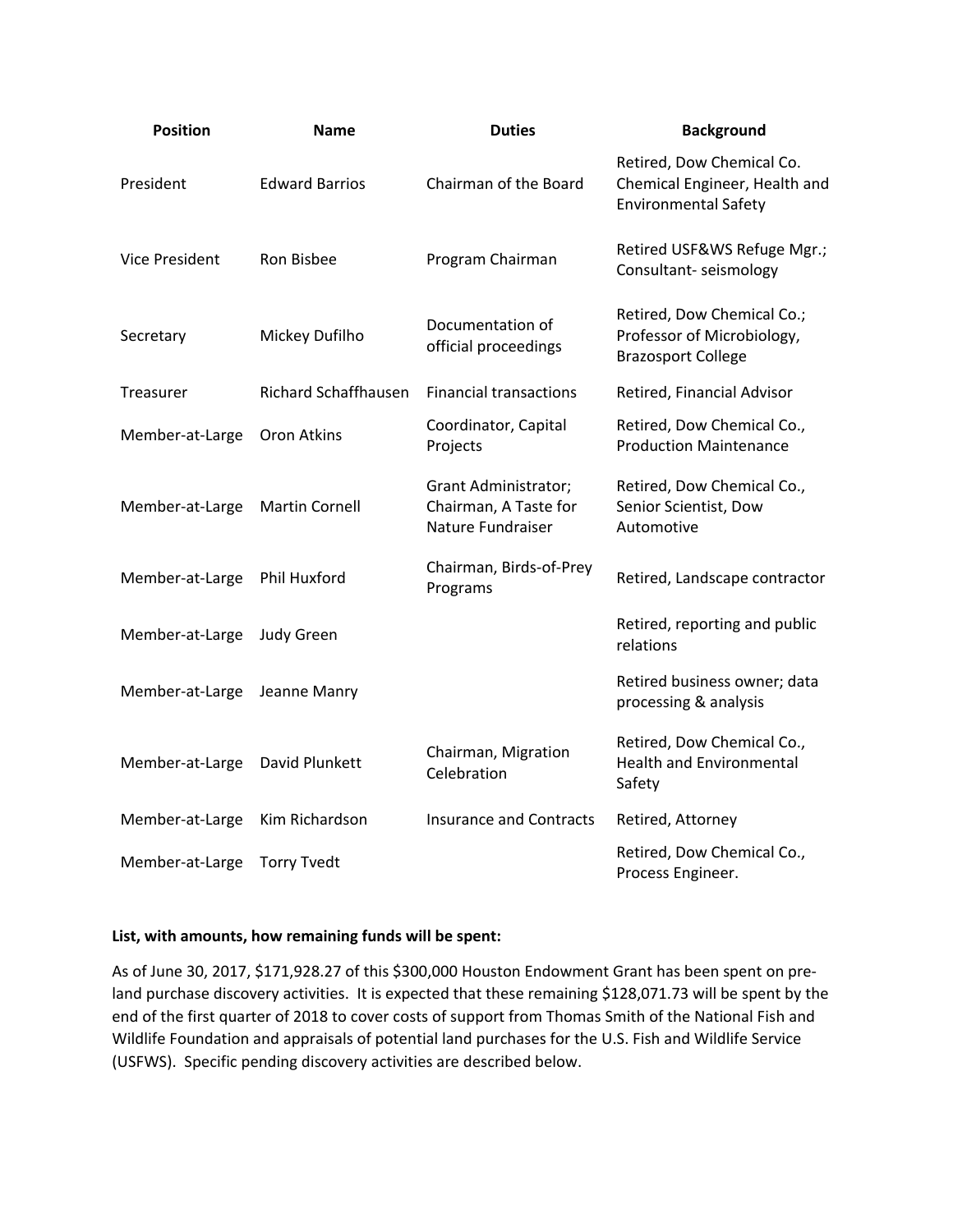| <b>Position</b> | <b>Name</b>                 | <b>Duties</b>                                                             | <b>Background</b>                                                                         |
|-----------------|-----------------------------|---------------------------------------------------------------------------|-------------------------------------------------------------------------------------------|
| President       | <b>Edward Barrios</b>       | Chairman of the Board                                                     | Retired, Dow Chemical Co.<br>Chemical Engineer, Health and<br><b>Environmental Safety</b> |
| Vice President  | Ron Bisbee                  | Program Chairman                                                          | Retired USF&WS Refuge Mgr.;<br>Consultant-seismology                                      |
| Secretary       | Mickey Dufilho              | Documentation of<br>official proceedings                                  | Retired, Dow Chemical Co.;<br>Professor of Microbiology,<br><b>Brazosport College</b>     |
| Treasurer       | <b>Richard Schaffhausen</b> | <b>Financial transactions</b>                                             | Retired, Financial Advisor                                                                |
| Member-at-Large | Oron Atkins                 | Coordinator, Capital<br>Projects                                          | Retired, Dow Chemical Co.,<br><b>Production Maintenance</b>                               |
| Member-at-Large | <b>Martin Cornell</b>       | <b>Grant Administrator;</b><br>Chairman, A Taste for<br>Nature Fundraiser | Retired, Dow Chemical Co.,<br>Senior Scientist, Dow<br>Automotive                         |
| Member-at-Large | Phil Huxford                | Chairman, Birds-of-Prey<br>Programs                                       | Retired, Landscape contractor                                                             |
| Member-at-Large | <b>Judy Green</b>           |                                                                           | Retired, reporting and public<br>relations                                                |
| Member-at-Large | Jeanne Manry                |                                                                           | Retired business owner; data<br>processing & analysis                                     |
| Member-at-Large | David Plunkett              | Chairman, Migration<br>Celebration                                        | Retired, Dow Chemical Co.,<br><b>Health and Environmental</b><br>Safety                   |
| Member-at-Large | Kim Richardson              | <b>Insurance and Contracts</b>                                            | Retired, Attorney                                                                         |
| Member-at-Large | <b>Torry Tvedt</b>          |                                                                           | Retired, Dow Chemical Co.,<br>Process Engineer.                                           |

#### **List, with amounts, how remaining funds will be spent:**

As of June 30, 2017, \$171,928.27 of this \$300,000 Houston Endowment Grant has been spent on preland purchase discovery activities. It is expected that these remaining \$128,071.73 will be spent by the end of the first quarter of 2018 to cover costs of support from Thomas Smith of the National Fish and Wildlife Foundation and appraisals of potential land purchases for the U.S. Fish and Wildlife Service (USFWS). Specific pending discovery activities are described below.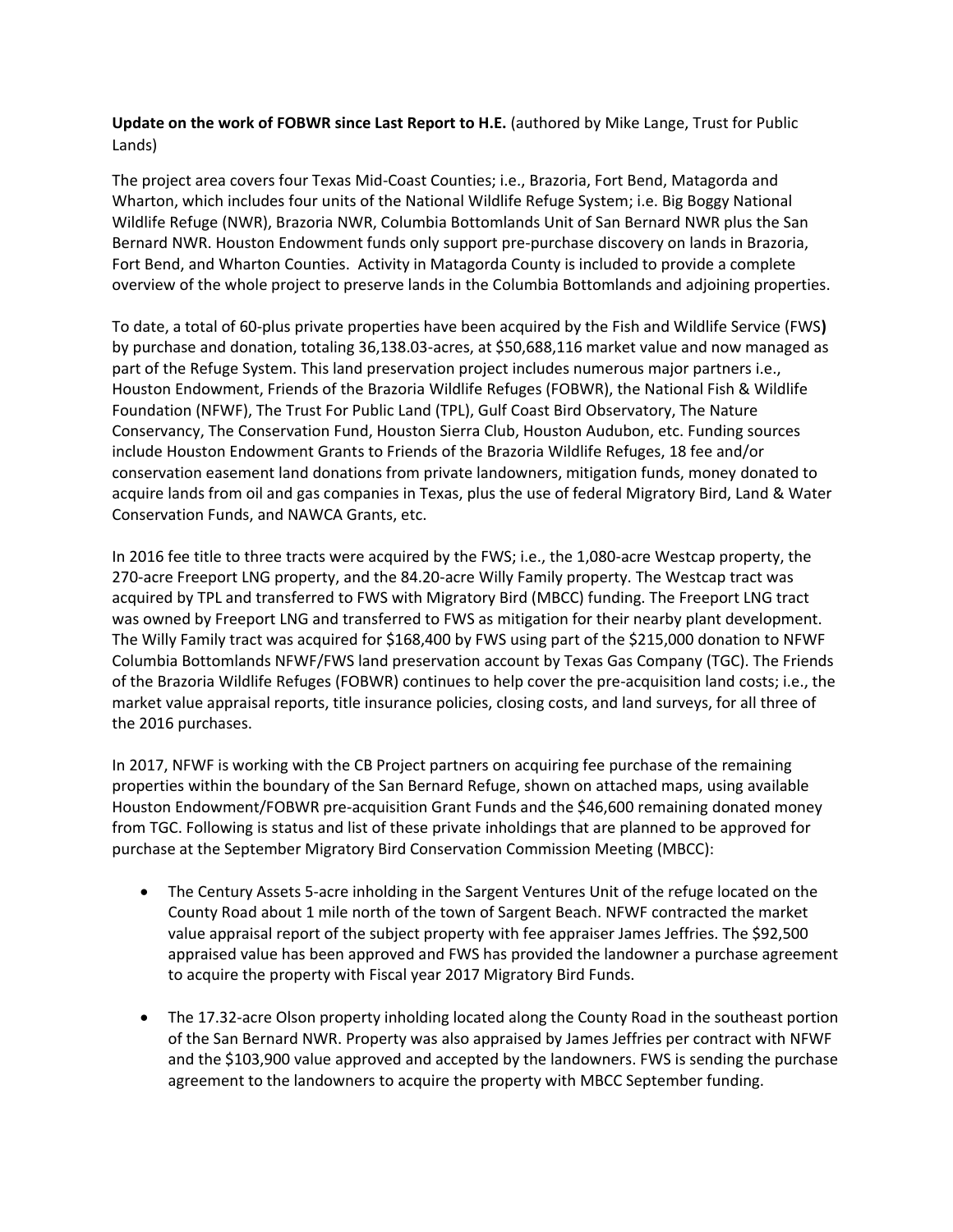### **Update on the work of FOBWR since Last Report to H.E.** (authored by Mike Lange, Trust for Public Lands)

The project area covers four Texas Mid-Coast Counties; i.e., Brazoria, Fort Bend, Matagorda and Wharton, which includes four units of the National Wildlife Refuge System; i.e. Big Boggy National Wildlife Refuge (NWR), Brazoria NWR, Columbia Bottomlands Unit of San Bernard NWR plus the San Bernard NWR. Houston Endowment funds only support pre-purchase discovery on lands in Brazoria, Fort Bend, and Wharton Counties. Activity in Matagorda County is included to provide a complete overview of the whole project to preserve lands in the Columbia Bottomlands and adjoining properties.

To date, a total of 60-plus private properties have been acquired by the Fish and Wildlife Service (FWS**)**  by purchase and donation, totaling 36,138.03-acres, at \$50,688,116 market value and now managed as part of the Refuge System. This land preservation project includes numerous major partners i.e., Houston Endowment, Friends of the Brazoria Wildlife Refuges (FOBWR), the National Fish & Wildlife Foundation (NFWF), The Trust For Public Land (TPL), Gulf Coast Bird Observatory, The Nature Conservancy, The Conservation Fund, Houston Sierra Club, Houston Audubon, etc. Funding sources include Houston Endowment Grants to Friends of the Brazoria Wildlife Refuges, 18 fee and/or conservation easement land donations from private landowners, mitigation funds, money donated to acquire lands from oil and gas companies in Texas, plus the use of federal Migratory Bird, Land & Water Conservation Funds, and NAWCA Grants, etc.

In 2016 fee title to three tracts were acquired by the FWS; i.e., the 1,080-acre Westcap property, the 270-acre Freeport LNG property, and the 84.20-acre Willy Family property. The Westcap tract was acquired by TPL and transferred to FWS with Migratory Bird (MBCC) funding. The Freeport LNG tract was owned by Freeport LNG and transferred to FWS as mitigation for their nearby plant development. The Willy Family tract was acquired for \$168,400 by FWS using part of the \$215,000 donation to NFWF Columbia Bottomlands NFWF/FWS land preservation account by Texas Gas Company (TGC). The Friends of the Brazoria Wildlife Refuges (FOBWR) continues to help cover the pre-acquisition land costs; i.e., the market value appraisal reports, title insurance policies, closing costs, and land surveys, for all three of the 2016 purchases.

In 2017, NFWF is working with the CB Project partners on acquiring fee purchase of the remaining properties within the boundary of the San Bernard Refuge, shown on attached maps, using available Houston Endowment/FOBWR pre-acquisition Grant Funds and the \$46,600 remaining donated money from TGC. Following is status and list of these private inholdings that are planned to be approved for purchase at the September Migratory Bird Conservation Commission Meeting (MBCC):

- The Century Assets 5-acre inholding in the Sargent Ventures Unit of the refuge located on the County Road about 1 mile north of the town of Sargent Beach. NFWF contracted the market value appraisal report of the subject property with fee appraiser James Jeffries. The \$92,500 appraised value has been approved and FWS has provided the landowner a purchase agreement to acquire the property with Fiscal year 2017 Migratory Bird Funds.
- The 17.32-acre Olson property inholding located along the County Road in the southeast portion of the San Bernard NWR. Property was also appraised by James Jeffries per contract with NFWF and the \$103,900 value approved and accepted by the landowners. FWS is sending the purchase agreement to the landowners to acquire the property with MBCC September funding.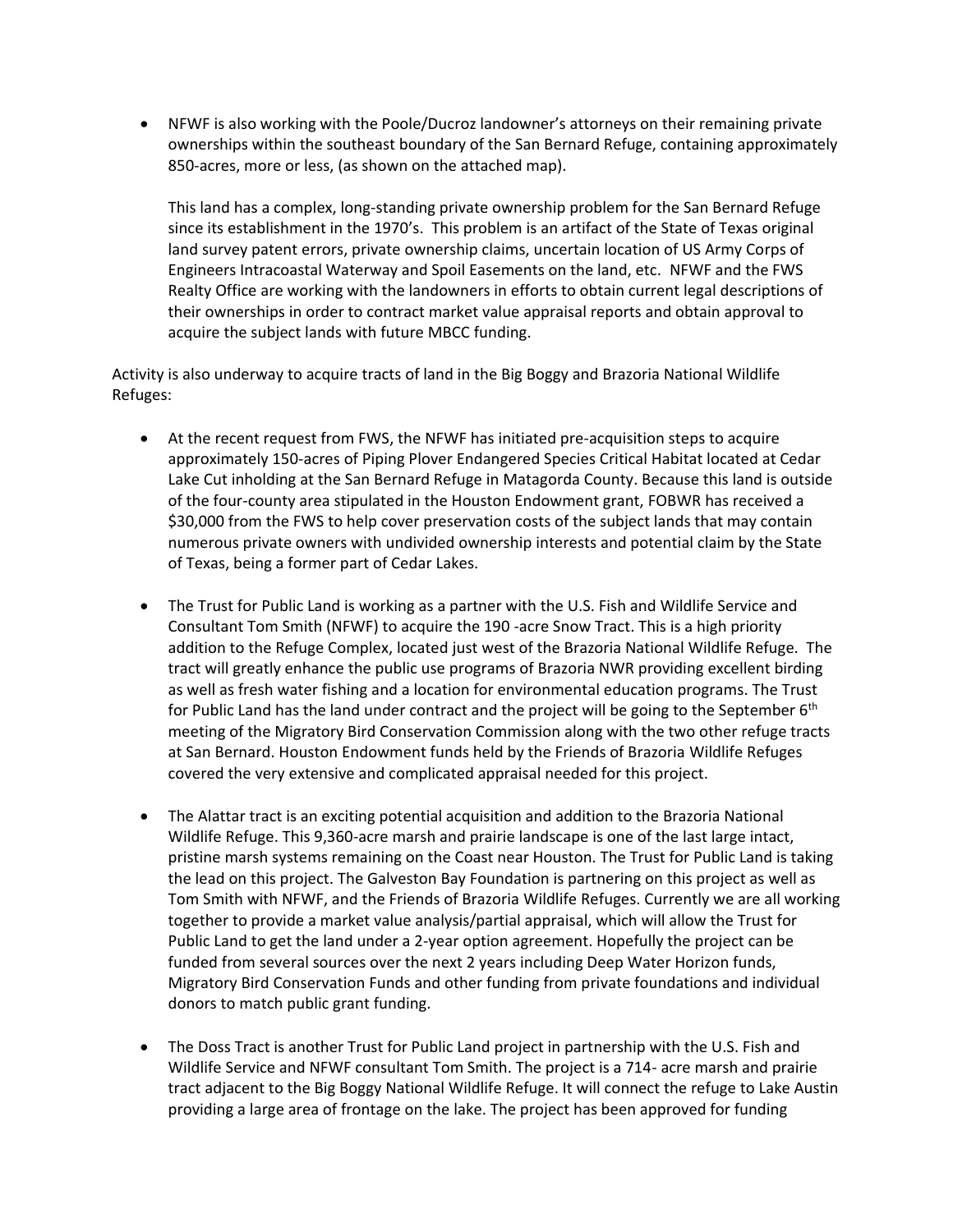• NFWF is also working with the Poole/Ducroz landowner's attorneys on their remaining private ownerships within the southeast boundary of the San Bernard Refuge, containing approximately 850-acres, more or less, (as shown on the attached map).

This land has a complex, long-standing private ownership problem for the San Bernard Refuge since its establishment in the 1970's. This problem is an artifact of the State of Texas original land survey patent errors, private ownership claims, uncertain location of US Army Corps of Engineers Intracoastal Waterway and Spoil Easements on the land, etc. NFWF and the FWS Realty Office are working with the landowners in efforts to obtain current legal descriptions of their ownerships in order to contract market value appraisal reports and obtain approval to acquire the subject lands with future MBCC funding.

Activity is also underway to acquire tracts of land in the Big Boggy and Brazoria National Wildlife Refuges:

- At the recent request from FWS, the NFWF has initiated pre-acquisition steps to acquire approximately 150-acres of Piping Plover Endangered Species Critical Habitat located at Cedar Lake Cut inholding at the San Bernard Refuge in Matagorda County. Because this land is outside of the four-county area stipulated in the Houston Endowment grant, FOBWR has received a \$30,000 from the FWS to help cover preservation costs of the subject lands that may contain numerous private owners with undivided ownership interests and potential claim by the State of Texas, being a former part of Cedar Lakes.
- The Trust for Public Land is working as a partner with the U.S. Fish and Wildlife Service and Consultant Tom Smith (NFWF) to acquire the 190 -acre Snow Tract. This is a high priority addition to the Refuge Complex, located just west of the Brazoria National Wildlife Refuge. The tract will greatly enhance the public use programs of Brazoria NWR providing excellent birding as well as fresh water fishing and a location for environmental education programs. The Trust for Public Land has the land under contract and the project will be going to the September  $6<sup>th</sup>$ meeting of the Migratory Bird Conservation Commission along with the two other refuge tracts at San Bernard. Houston Endowment funds held by the Friends of Brazoria Wildlife Refuges covered the very extensive and complicated appraisal needed for this project.
- The Alattar tract is an exciting potential acquisition and addition to the Brazoria National Wildlife Refuge. This 9,360-acre marsh and prairie landscape is one of the last large intact, pristine marsh systems remaining on the Coast near Houston. The Trust for Public Land is taking the lead on this project. The Galveston Bay Foundation is partnering on this project as well as Tom Smith with NFWF, and the Friends of Brazoria Wildlife Refuges. Currently we are all working together to provide a market value analysis/partial appraisal, which will allow the Trust for Public Land to get the land under a 2-year option agreement. Hopefully the project can be funded from several sources over the next 2 years including Deep Water Horizon funds, Migratory Bird Conservation Funds and other funding from private foundations and individual donors to match public grant funding.
- The Doss Tract is another Trust for Public Land project in partnership with the U.S. Fish and Wildlife Service and NFWF consultant Tom Smith. The project is a 714- acre marsh and prairie tract adjacent to the Big Boggy National Wildlife Refuge. It will connect the refuge to Lake Austin providing a large area of frontage on the lake. The project has been approved for funding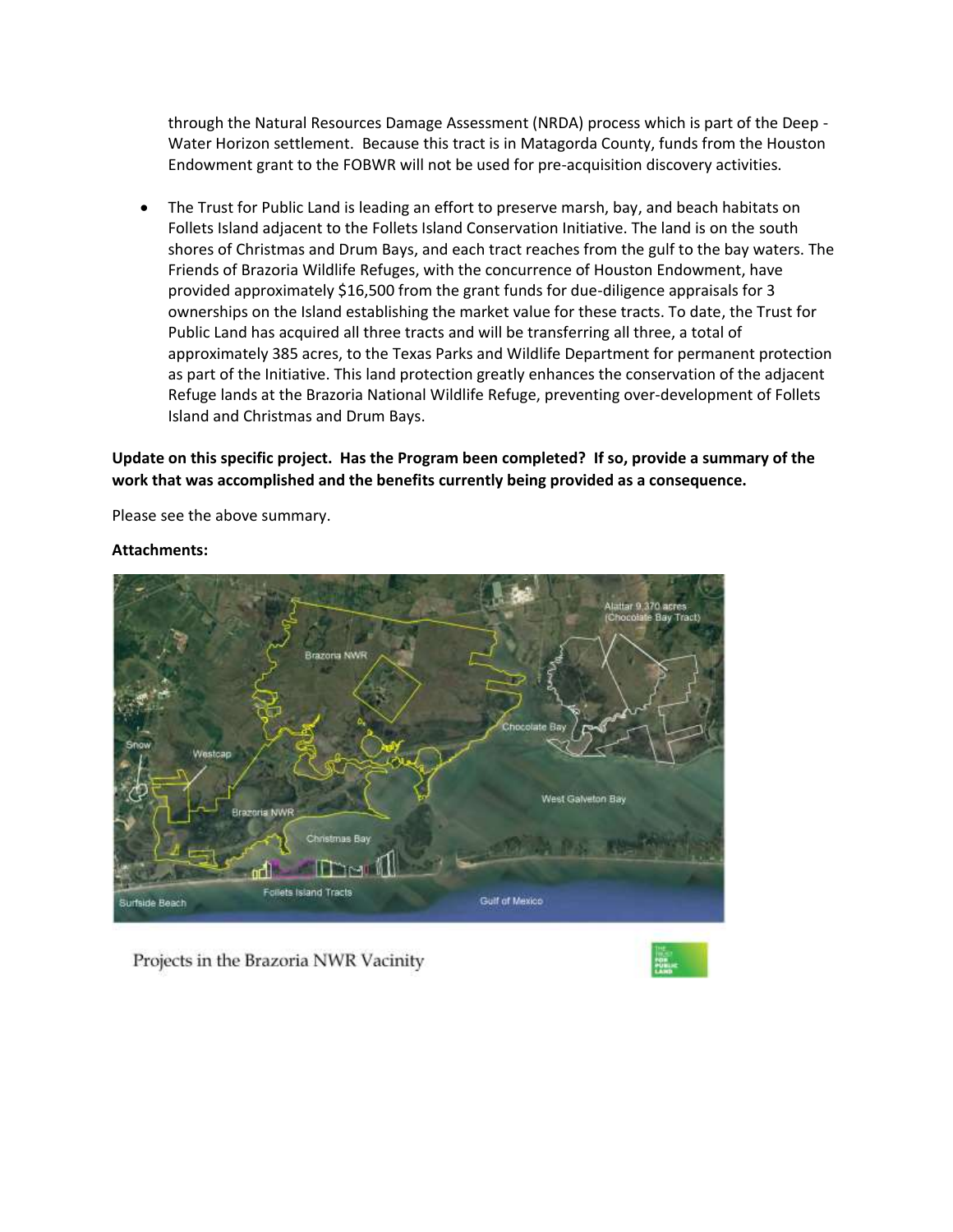through the Natural Resources Damage Assessment (NRDA) process which is part of the Deep - Water Horizon settlement. Because this tract is in Matagorda County, funds from the Houston Endowment grant to the FOBWR will not be used for pre-acquisition discovery activities.

• The Trust for Public Land is leading an effort to preserve marsh, bay, and beach habitats on Follets Island adjacent to the Follets Island Conservation Initiative. The land is on the south shores of Christmas and Drum Bays, and each tract reaches from the gulf to the bay waters. The Friends of Brazoria Wildlife Refuges, with the concurrence of Houston Endowment, have provided approximately \$16,500 from the grant funds for due-diligence appraisals for 3 ownerships on the Island establishing the market value for these tracts. To date, the Trust for Public Land has acquired all three tracts and will be transferring all three, a total of approximately 385 acres, to the Texas Parks and Wildlife Department for permanent protection as part of the Initiative. This land protection greatly enhances the conservation of the adjacent Refuge lands at the Brazoria National Wildlife Refuge, preventing over-development of Follets Island and Christmas and Drum Bays.

**Update on this specific project. Has the Program been completed? If so, provide a summary of the work that was accomplished and the benefits currently being provided as a consequence.**

Please see the above summary.

# Bay Tract **Brazona NWR** Westcap West Galveton Bay ria NWR **Imas Ba TITTING** Follets Island Tracts Guilf of Mexico Surfside Beach

#### **Attachments:**

Projects in the Brazoria NWR Vacinity

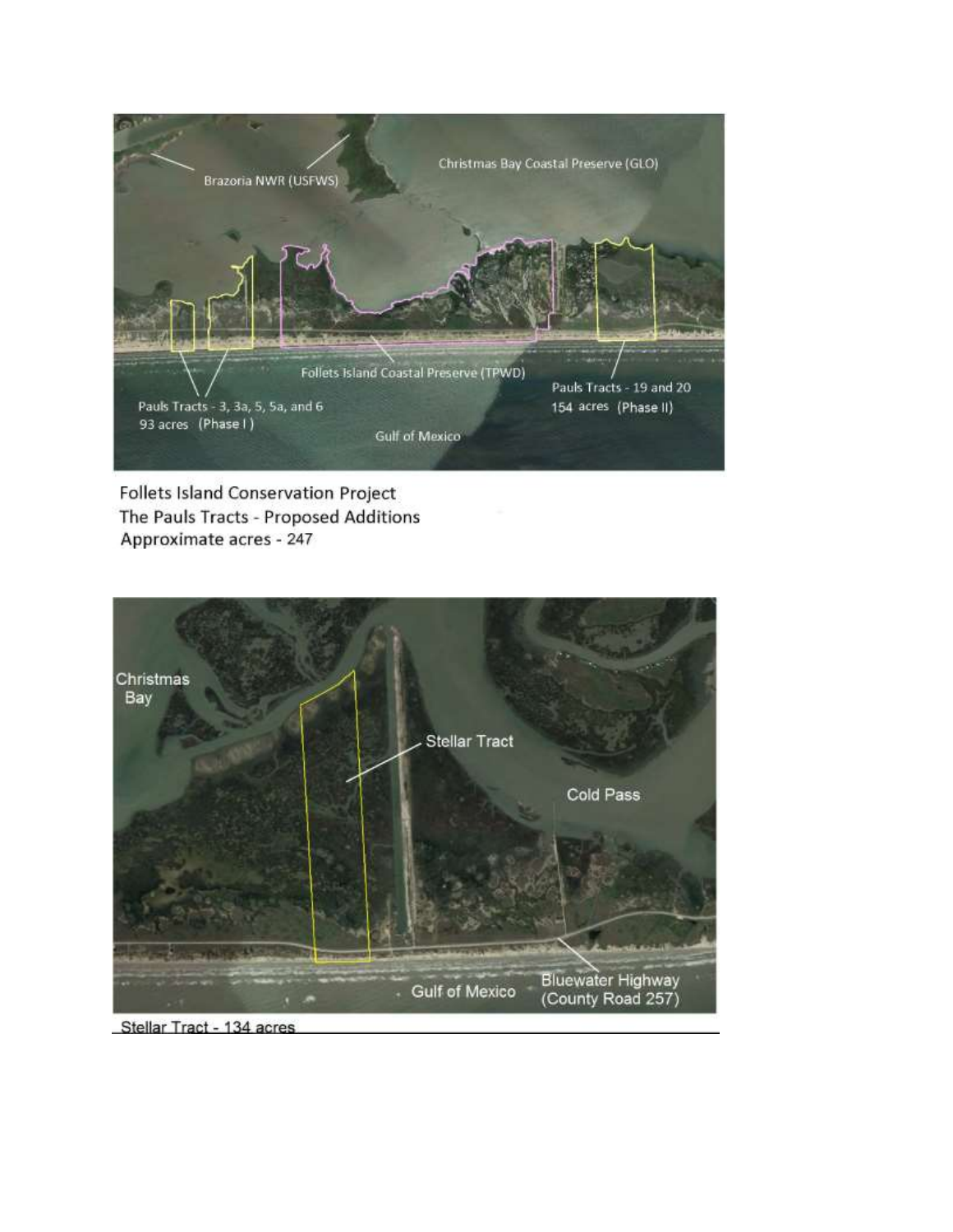

Follets Island Conservation Project The Pauls Tracts - Proposed Additions Approximate acres - 247



Stellar Tract - 134 acres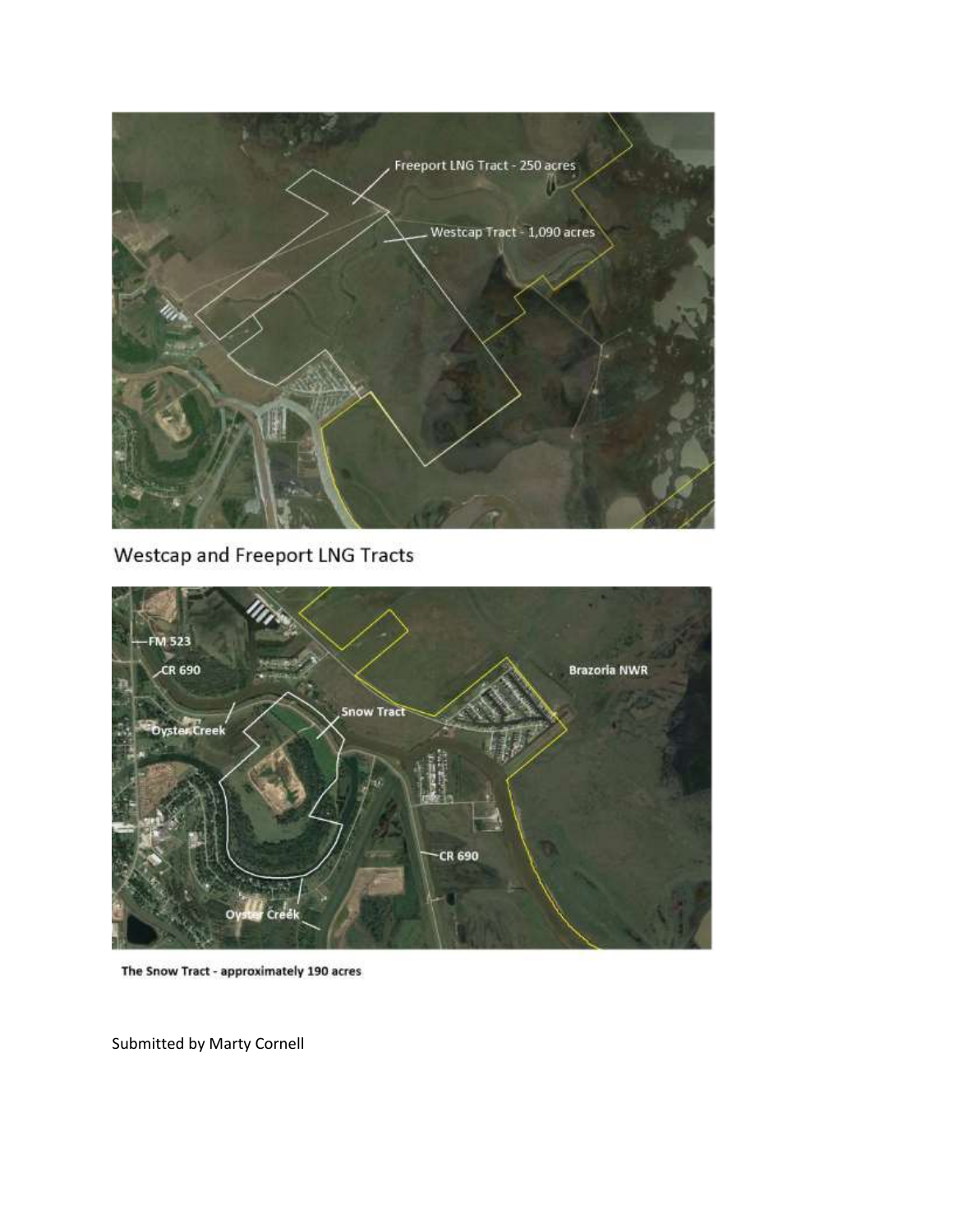

Westcap and Freeport LNG Tracts



The Snow Tract - approximately 190 acres

Submitted by Marty Cornell